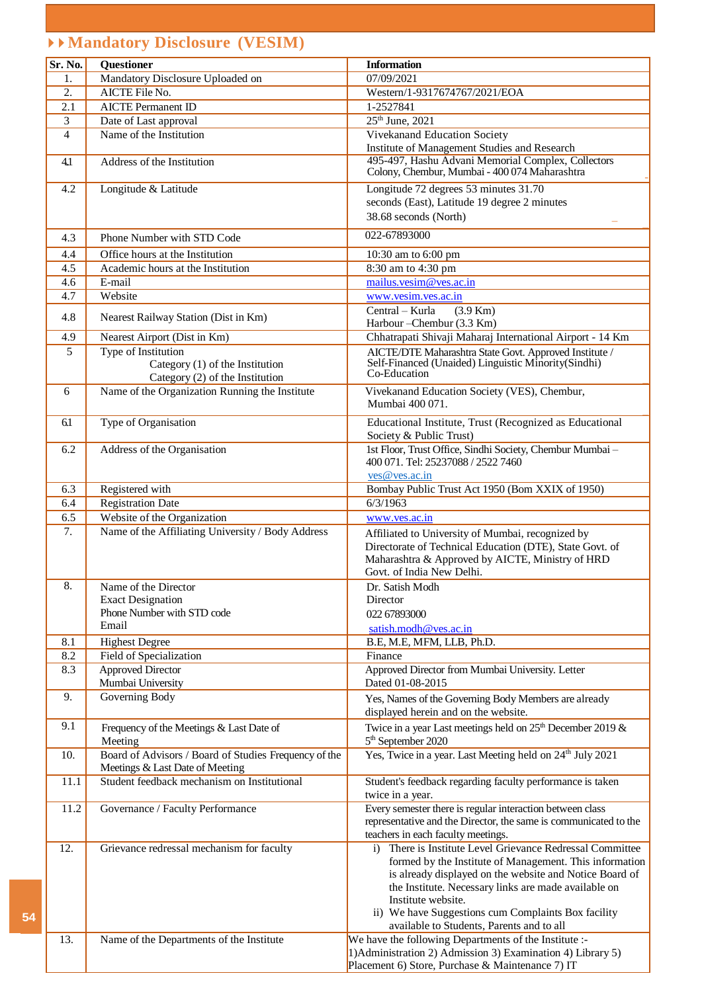# **► ► Mandatory Disclosure (VESIM)**

**54**

| Sr. No.        | <b>Ouestioner</b>                                                  | <b>Information</b>                                                                                            |
|----------------|--------------------------------------------------------------------|---------------------------------------------------------------------------------------------------------------|
| 1.             | Mandatory Disclosure Uploaded on                                   | 07/09/2021                                                                                                    |
| 2.             | <b>AICTE File No.</b>                                              | Western/1-9317674767/2021/EOA                                                                                 |
| 2.1            | <b>AICTE Permanent ID</b>                                          | 1-2527841                                                                                                     |
| 3              | Date of Last approval                                              | $25th$ June, 2021                                                                                             |
| $\overline{4}$ | Name of the Institution                                            | <b>Vivekanand Education Society</b>                                                                           |
|                |                                                                    | Institute of Management Studies and Research                                                                  |
| 4.1            | Address of the Institution                                         | 495-497, Hashu Advani Memorial Complex, Collectors                                                            |
|                |                                                                    | Colony, Chembur, Mumbai - 400 074 Maharashtra                                                                 |
| 4.2            | Longitude & Latitude                                               | Longitude 72 degrees 53 minutes 31.70                                                                         |
|                |                                                                    | seconds (East), Latitude 19 degree 2 minutes                                                                  |
|                |                                                                    | 38.68 seconds (North)                                                                                         |
| 4.3            | Phone Number with STD Code                                         | 022-67893000                                                                                                  |
|                |                                                                    |                                                                                                               |
| 4.4            | Office hours at the Institution                                    | 10:30 am to 6:00 pm                                                                                           |
| 4.5            | Academic hours at the Institution                                  | 8:30 am to 4:30 pm                                                                                            |
| 4.6            | E-mail                                                             | mailus.vesim@ves.ac.in                                                                                        |
| 4.7            | Website                                                            | www.vesim.ves.ac.in                                                                                           |
| 4.8            | Nearest Railway Station (Dist in Km)                               | Central - Kurla<br>$(3.9 \text{ Km})$                                                                         |
|                |                                                                    | Harbour-Chembur (3.3 Km)                                                                                      |
| 4.9            | Nearest Airport (Dist in Km)                                       | Chhatrapati Shivaji Maharaj International Airport - 14 Km                                                     |
| 5              | Type of Institution                                                | AICTE/DTE Maharashtra State Govt. Approved Institute /<br>Self-Financed (Unaided) Linguistic Minority(Sindhi) |
|                | Category (1) of the Institution<br>Category (2) of the Institution | Co-Education                                                                                                  |
| 6              | Name of the Organization Running the Institute                     | Vivekanand Education Society (VES), Chembur,                                                                  |
|                |                                                                    | Mumbai 400 071.                                                                                               |
|                |                                                                    |                                                                                                               |
| 61             | Type of Organisation                                               | Educational Institute, Trust (Recognized as Educational                                                       |
|                |                                                                    | Society & Public Trust)                                                                                       |
| 6.2            | Address of the Organisation                                        | 1st Floor, Trust Office, Sindhi Society, Chembur Mumbai -<br>400 071. Tel: 25237088 / 2522 7460               |
|                |                                                                    | ves@ves.ac.in                                                                                                 |
| 6.3            | Registered with                                                    | Bombay Public Trust Act 1950 (Bom XXIX of 1950)                                                               |
| 6.4            | <b>Registration Date</b>                                           | 6/3/1963                                                                                                      |
| 6.5            | Website of the Organization                                        | www.ves.ac.in                                                                                                 |
| 7.             | Name of the Affiliating University / Body Address                  |                                                                                                               |
|                |                                                                    | Affiliated to University of Mumbai, recognized by                                                             |
|                |                                                                    | Directorate of Technical Education (DTE), State Govt. of<br>Maharashtra & Approved by AICTE, Ministry of HRD  |
|                |                                                                    | Govt. of India New Delhi.                                                                                     |
| 8.             | Name of the Director                                               | Dr. Satish Modh                                                                                               |
|                | <b>Exact Designation</b>                                           | Director                                                                                                      |
|                | Phone Number with STD code                                         | 022 67893000                                                                                                  |
|                | Email                                                              | satish.modh@ves.ac.in                                                                                         |
| 8.1            | <b>Highest Degree</b>                                              | B.E, M.E, MFM, LLB, Ph.D.                                                                                     |
| 8.2            | Field of Specialization                                            | Finance                                                                                                       |
| 8.3            | <b>Approved Director</b>                                           | Approved Director from Mumbai University. Letter                                                              |
|                | Mumbai University                                                  | Dated 01-08-2015                                                                                              |
| 9.             | Governing Body                                                     | Yes, Names of the Governing Body Members are already                                                          |
|                |                                                                    | displayed herein and on the website.                                                                          |
| 9.1            | Frequency of the Meetings & Last Date of                           | Twice in a year Last meetings held on $25th$ December 2019 &                                                  |
|                | Meeting                                                            | 5 <sup>th</sup> September 2020                                                                                |
| 10.            | Board of Advisors / Board of Studies Frequency of the              | Yes, Twice in a year. Last Meeting held on 24 <sup>th</sup> July 2021                                         |
|                | Meetings & Last Date of Meeting                                    |                                                                                                               |
| 11.1           | Student feedback mechanism on Institutional                        | Student's feedback regarding faculty performance is taken                                                     |
|                |                                                                    | twice in a year.                                                                                              |
| 11.2           | Governance / Faculty Performance                                   | Every semester there is regular interaction between class                                                     |
|                |                                                                    | representative and the Director, the same is communicated to the                                              |
|                |                                                                    | teachers in each faculty meetings.                                                                            |
| 12.            | Grievance redressal mechanism for faculty                          | There is Institute Level Grievance Redressal Committee<br>i)                                                  |
|                |                                                                    | formed by the Institute of Management. This information                                                       |
|                |                                                                    | is already displayed on the website and Notice Board of                                                       |
|                |                                                                    | the Institute. Necessary links are made available on                                                          |
|                |                                                                    | Institute website.                                                                                            |
|                |                                                                    | ii) We have Suggestions cum Complaints Box facility<br>available to Students, Parents and to all              |
| 13.            | Name of the Departments of the Institute                           | We have the following Departments of the Institute :-                                                         |
|                |                                                                    | 1) Administration 2) Admission 3) Examination 4) Library 5)                                                   |
|                |                                                                    | Placement 6) Store, Purchase & Maintenance 7) IT                                                              |
|                |                                                                    |                                                                                                               |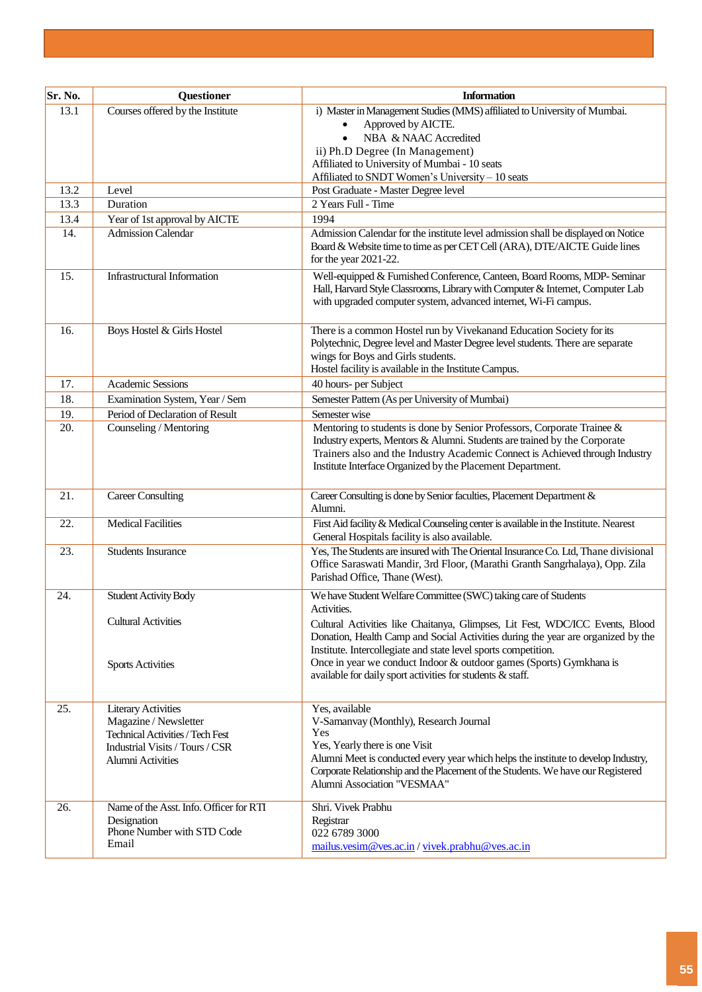| Sr. No. | <b>Questioner</b>                                               | <b>Information</b>                                                                                                                                                     |  |
|---------|-----------------------------------------------------------------|------------------------------------------------------------------------------------------------------------------------------------------------------------------------|--|
| 13.1    | Courses offered by the Institute                                | i) Master in Management Studies (MMS) affiliated to University of Mumbai.                                                                                              |  |
|         |                                                                 | Approved by AICTE.<br>$\bullet$                                                                                                                                        |  |
|         |                                                                 | NBA & NAAC Accredited<br>$\bullet$                                                                                                                                     |  |
|         |                                                                 | ii) Ph.D Degree (In Management)                                                                                                                                        |  |
|         |                                                                 | Affiliated to University of Mumbai - 10 seats<br>Affiliated to SNDT Women's University - 10 seats                                                                      |  |
| 13.2    | Level                                                           | Post Graduate - Master Degree level                                                                                                                                    |  |
| 13.3    | Duration                                                        | 2 Years Full - Time                                                                                                                                                    |  |
| 13.4    | Year of 1st approval by AICTE                                   | 1994                                                                                                                                                                   |  |
| 14.     | <b>Admission Calendar</b>                                       | Admission Calendar for the institute level admission shall be displayed on Notice                                                                                      |  |
|         |                                                                 | Board & Website time to time as per CET Cell (ARA), DTE/AICTE Guide lines                                                                                              |  |
|         |                                                                 | for the year 2021-22.                                                                                                                                                  |  |
| 15.     | Infrastructural Information                                     | Well-equipped & Furnished Conference, Canteen, Board Rooms, MDP-Seminar<br>Hall, Harvard Style Classrooms, Library with Computer & Internet, Computer Lab              |  |
|         |                                                                 | with upgraded computer system, advanced internet, Wi-Fi campus.                                                                                                        |  |
|         |                                                                 |                                                                                                                                                                        |  |
| 16.     | Boys Hostel & Girls Hostel                                      | There is a common Hostel run by Vivekanand Education Society for its                                                                                                   |  |
|         |                                                                 | Polytechnic, Degree level and Master Degree level students. There are separate                                                                                         |  |
|         |                                                                 | wings for Boys and Girls students.<br>Hostel facility is available in the Institute Campus.                                                                            |  |
| 17.     | <b>Academic Sessions</b>                                        | 40 hours- per Subject                                                                                                                                                  |  |
| 18.     | Examination System, Year / Sem                                  | Semester Pattern (As per University of Mumbai)                                                                                                                         |  |
| 19.     | Period of Declaration of Result                                 | Semester wise                                                                                                                                                          |  |
| 20.     | Counseling / Mentoring                                          | Mentoring to students is done by Senior Professors, Corporate Trainee &                                                                                                |  |
|         |                                                                 | Industry experts, Mentors & Alumni. Students are trained by the Corporate                                                                                              |  |
|         |                                                                 | Trainers also and the Industry Academic Connect is Achieved through Industry                                                                                           |  |
|         |                                                                 | Institute Interface Organized by the Placement Department.                                                                                                             |  |
| 21.     | <b>Career Consulting</b>                                        | Career Consulting is done by Senior faculties, Placement Department &                                                                                                  |  |
|         |                                                                 | Alumni.                                                                                                                                                                |  |
| 22.     | <b>Medical Facilities</b>                                       | First Aid facility & Medical Counseling center is available in the Institute. Nearest                                                                                  |  |
|         |                                                                 | General Hospitals facility is also available.                                                                                                                          |  |
| 23.     | <b>Students Insurance</b>                                       | Yes, The Students are insured with The Oriental Insurance Co. Ltd, Thane divisional<br>Office Saraswati Mandir, 3rd Floor, (Marathi Granth Sangrhalaya), Opp. Zila     |  |
|         |                                                                 | Parishad Office, Thane (West).                                                                                                                                         |  |
| 24.     | <b>Student Activity Body</b>                                    | We have Student Welfare Committee (SWC) taking care of Students                                                                                                        |  |
|         |                                                                 | Activities.                                                                                                                                                            |  |
|         | <b>Cultural Activities</b>                                      | Cultural Activities like Chaitanya, Glimpses, Lit Fest, WDC/ICC Events, Blood                                                                                          |  |
|         |                                                                 | Donation, Health Camp and Social Activities during the year are organized by the                                                                                       |  |
|         |                                                                 | Institute. Intercollegiate and state level sports competition.                                                                                                         |  |
|         | <b>Sports Activities</b>                                        | Once in year we conduct Indoor & outdoor games (Sports) Gymkhana is<br>available for daily sport activities for students & staff.                                      |  |
|         |                                                                 |                                                                                                                                                                        |  |
| 25.     | <b>Literary Activities</b>                                      | Yes, available                                                                                                                                                         |  |
|         | Magazine / Newsletter                                           | V-Samanvay (Monthly), Research Journal                                                                                                                                 |  |
|         | Technical Activities / Tech Fest                                | Yes                                                                                                                                                                    |  |
|         | Industrial Visits / Tours / CSR                                 | Yes, Yearly there is one Visit                                                                                                                                         |  |
|         | Alumni Activities                                               | Alumni Meet is conducted every year which helps the institute to develop Industry,<br>Corporate Relationship and the Placement of the Students. We have our Registered |  |
|         |                                                                 | Alumni Association "VESMAA"                                                                                                                                            |  |
|         |                                                                 |                                                                                                                                                                        |  |
|         |                                                                 |                                                                                                                                                                        |  |
|         | Phone Number with STD Code                                      | 022 6789 3000                                                                                                                                                          |  |
|         |                                                                 | mailus.vesim@ves.ac.in/vivek.prabhu@ves.ac.in                                                                                                                          |  |
| 26.     | Name of the Asst. Info. Officer for RTI<br>Designation<br>Email | Shri. Vivek Prabhu<br>Registrar                                                                                                                                        |  |